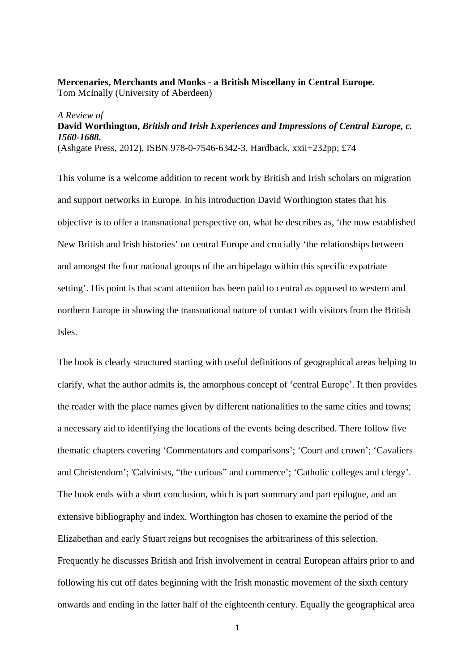## **Mercenaries, Merchants and Monks - a British Miscellany in Central Europe.**  Tom McInally (University of Aberdeen)

## *A Review of*  **David Worthington,** *British and Irish Experiences and Impressions of Central Europe, c. 1560-1688.* (Ashgate Press, 2012), ISBN 978-0-7546-6342-3, Hardback, xxii+232pp; £74

This volume is a welcome addition to recent work by British and Irish scholars on migration and support networks in Europe. In his introduction David Worthington states that his objective is to offer a transnational perspective on, what he describes as, 'the now established New British and Irish histories' on central Europe and crucially 'the relationships between and amongst the four national groups of the archipelago within this specific expatriate setting'. His point is that scant attention has been paid to central as opposed to western and northern Europe in showing the transnational nature of contact with visitors from the British Isles.

The book is clearly structured starting with useful definitions of geographical areas helping to clarify, what the author admits is, the amorphous concept of 'central Europe'. It then provides the reader with the place names given by different nationalities to the same cities and towns; a necessary aid to identifying the locations of the events being described. There follow five thematic chapters covering 'Commentators and comparisons'; 'Court and crown'; 'Cavaliers and Christendom'; 'Calvinists, "the curious" and commerce'; 'Catholic colleges and clergy'. The book ends with a short conclusion, which is part summary and part epilogue, and an extensive bibliography and index. Worthington has chosen to examine the period of the Elizabethan and early Stuart reigns but recognises the arbitrariness of this selection. Frequently he discusses British and Irish involvement in central European affairs prior to and following his cut off dates beginning with the Irish monastic movement of the sixth century onwards and ending in the latter half of the eighteenth century. Equally the geographical area

1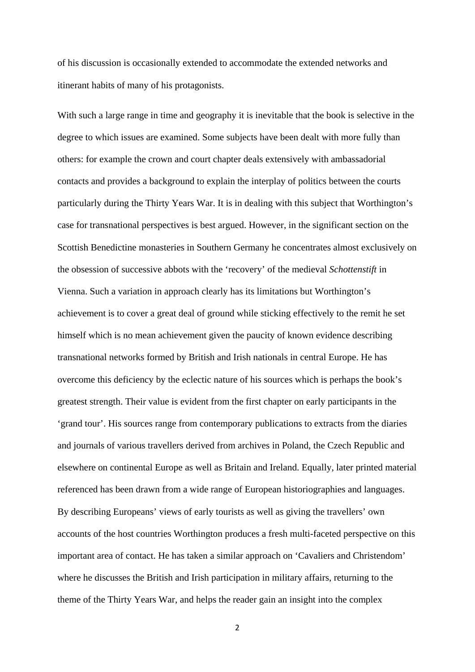of his discussion is occasionally extended to accommodate the extended networks and itinerant habits of many of his protagonists.

With such a large range in time and geography it is inevitable that the book is selective in the degree to which issues are examined. Some subjects have been dealt with more fully than others: for example the crown and court chapter deals extensively with ambassadorial contacts and provides a background to explain the interplay of politics between the courts particularly during the Thirty Years War. It is in dealing with this subject that Worthington's case for transnational perspectives is best argued. However, in the significant section on the Scottish Benedictine monasteries in Southern Germany he concentrates almost exclusively on the obsession of successive abbots with the 'recovery' of the medieval *Schottenstift* in Vienna. Such a variation in approach clearly has its limitations but Worthington's achievement is to cover a great deal of ground while sticking effectively to the remit he set himself which is no mean achievement given the paucity of known evidence describing transnational networks formed by British and Irish nationals in central Europe. He has overcome this deficiency by the eclectic nature of his sources which is perhaps the book's greatest strength. Their value is evident from the first chapter on early participants in the 'grand tour'. His sources range from contemporary publications to extracts from the diaries and journals of various travellers derived from archives in Poland, the Czech Republic and elsewhere on continental Europe as well as Britain and Ireland. Equally, later printed material referenced has been drawn from a wide range of European historiographies and languages. By describing Europeans' views of early tourists as well as giving the travellers' own accounts of the host countries Worthington produces a fresh multi-faceted perspective on this important area of contact. He has taken a similar approach on 'Cavaliers and Christendom' where he discusses the British and Irish participation in military affairs, returning to the theme of the Thirty Years War, and helps the reader gain an insight into the complex

2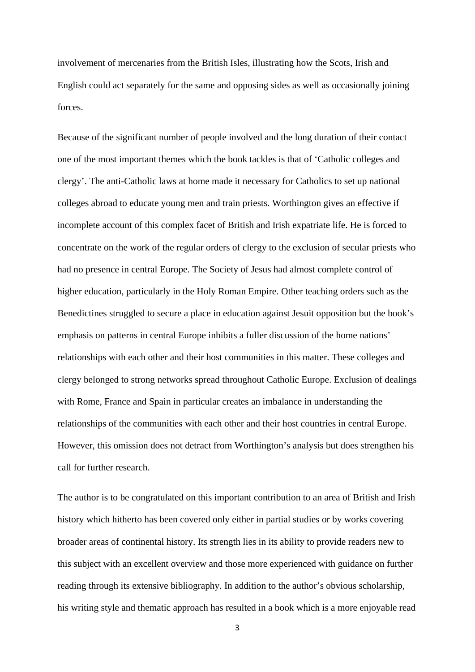involvement of mercenaries from the British Isles, illustrating how the Scots, Irish and English could act separately for the same and opposing sides as well as occasionally joining forces.

Because of the significant number of people involved and the long duration of their contact one of the most important themes which the book tackles is that of 'Catholic colleges and clergy'. The anti-Catholic laws at home made it necessary for Catholics to set up national colleges abroad to educate young men and train priests. Worthington gives an effective if incomplete account of this complex facet of British and Irish expatriate life. He is forced to concentrate on the work of the regular orders of clergy to the exclusion of secular priests who had no presence in central Europe. The Society of Jesus had almost complete control of higher education, particularly in the Holy Roman Empire. Other teaching orders such as the Benedictines struggled to secure a place in education against Jesuit opposition but the book's emphasis on patterns in central Europe inhibits a fuller discussion of the home nations' relationships with each other and their host communities in this matter. These colleges and clergy belonged to strong networks spread throughout Catholic Europe. Exclusion of dealings with Rome, France and Spain in particular creates an imbalance in understanding the relationships of the communities with each other and their host countries in central Europe. However, this omission does not detract from Worthington's analysis but does strengthen his call for further research.

The author is to be congratulated on this important contribution to an area of British and Irish history which hitherto has been covered only either in partial studies or by works covering broader areas of continental history. Its strength lies in its ability to provide readers new to this subject with an excellent overview and those more experienced with guidance on further reading through its extensive bibliography. In addition to the author's obvious scholarship, his writing style and thematic approach has resulted in a book which is a more enjoyable read

3